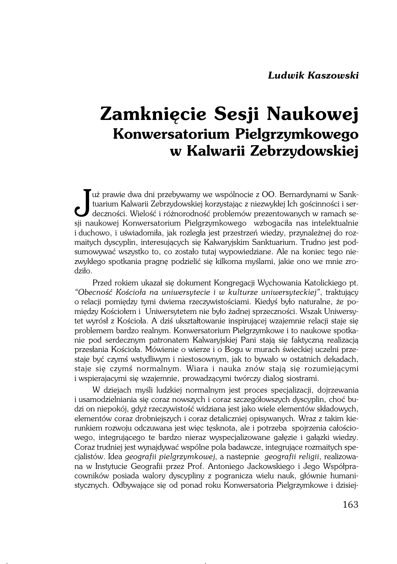## **Zamknięcie Sesji Naukowej Konwersatorium Pielgrzymkowego w Kalwarii Zebrzydowskiej**

Już prawie dwa dni przebywamy we wspólnocie z OO. Bernardynami w Sanktuarium Kalwarii Zebrzydowskiej korzystając z niezwykłej Ich gościnności i serdeczności. Wielość i różnorodność problemów prezentowanych w ramach se−sii uż prawie dwa dni przebywamy we wspólnocie z OO. Bernardynami w Sank− tuarium Kalwarii Zebrzydowskiej korzystając z niezwykłej Ich gościnności i ser− sji naukowej Konwersatorium Pielgrzymkowego wzbogaciła nas intelektualnie iduchowo, i uświadomiła, jak rozległa jest przestrzeń wiedzy, przynależnej do roz− maitych dyscyplin, interesujących się Kalwaryjskim Sanktuarium. Trudno jest pod− sumowywać wszystko to, co zostało tutaj wypowiedziane. Ale na koniec tego nie− zwykłego spotkania pragnę podzielić się kilkoma myślami, jakie ono we mnie zro− dziło.

Przed rokiem ukazał się dokument Kongregacji Wychowania Katolickiego pt. *"Obecność Kościoła na uniwersytecie i w kulturze uniwersyteckiej"*, traktujący orelacji pomiędzy tymi dwiema rzeczywistościami. Kiedyś było naturalne, że po− między Kościołem i Uniwersytetem nie było żadnej sprzeczności. Wszak Uniwersy− tet wyrósł z Kościoła. A dziś ukształtowanie inspirującej wzajemnie relacji staje się problemem bardzo realnym. Konwersatorium Pielgrzymkowe i to naukowe spotka− nie pod serdecznym patronatem Kalwaryjskiej Pani stają się faktyczną realizacją przesłania Kościoła. Mówienie o wierze i o Bogu w murach świeckiej uczelni prze− staje być czymś wstydliwym i niestosownym, jak to bywało w ostatnich dekadach, staje się czymś normalnym. Wiara i nauka znów stają się rozumiejącymi iwspierajacymi się wzajemnie, prowadzącymi twórczy dialog siostrami.

W dziejach myśli ludzkiej normalnym jest proces specjalizacji, dojrzewania iusamodzielniania się coraz nowszych i coraz szczegółowszych dyscyplin, choć bu− dzi on niepokój, gdyż rzeczywistość widziana jest jako wiele elementów składowych, elementów coraz drobniejszych i coraz detaliczniej opisywanych. Wraz z takim kie− runkiem rozwoju odczuwana jest więc tęsknota, ale i potrzeba spojrzenia całościo− wego, integrującego te bardzo nieraz wyspecjalizowane gałęzie i gałązki wiedzy. Coraz trudniej jest wynajdywać wspólne pola badawcze, integrujące rozmaitych spe− cjalistów. Idea *geografii pielgrzymkowej*, a nastepnie *geografii religii*, realizowa− na w Instytucie Geografii przez Prof. Antoniego Jackowskiego i Jego Współpra− cowników posiada walory dyscypliny z pogranicza wielu nauk, głównie humani− stycznych. Odbywające się od ponad roku Konwersatoria Pielgrzymkowe i dzisiej−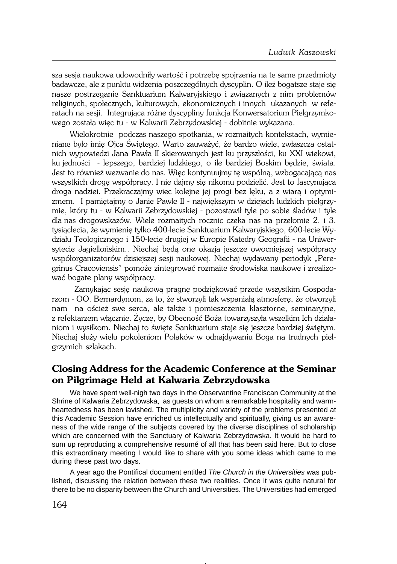sza sesja naukowa udowodniły wartość i potrzebę spojrzenia na te same przedmioty badawcze, ale z punktu widzenia poszczególnych dyscyplin. O ileż bogatsze staje się nasze postrzeganie Sanktuarium Kalwaryjskiego i związanych z nim problemów religinych, społecznych, kulturowych, ekonomicznych i innych ukazanych w refe− ratach na sesji. Integrująca różne dyscypliny funkcja Konwersatorium Pielgrzymko− wego została więc tu − w Kalwarii Zebrzydowskiej − dobitnie wykazana.

Wielokrotnie podczas naszego spotkania, w rozmaitych kontekstach, wymie− niane było imię Ojca Świętego. Warto zauważyć, że bardzo wiele, zwłaszcza ostat− nich wypowiedzi Jana Pawła II skierowanych jest ku przyszłości, ku XXI wiekowi, kujedności − lepszego, bardziej ludzkiego, o ile bardziej Boskim będzie, świata. Jest to również wezwanie do nas. Więc kontynuujmy tę wspólną, wzbogacającą nas wszystkich drogę współpracy. I nie dajmy się nikomu podzielić. Jest to fascynująca droga nadziei. Przekraczajmy wiec kolejne jej progi bez lęku, a z wiarą i optymi− zmem. I pamiętajmy o Janie Pawle II − największym w dziejach ludzkich pielgrzy− mie, który tu − w Kalwarii Zebrzydowskiej − pozostawił tyle po sobie śladów i tyle dlanas drogowskazów. Wiele rozmaitych rocznic czeka nas na przełomie 2. i 3. tysiąclecia, że wymienię tylko 400−lecie Sanktuarium Kalwaryjskiego, 600−lecie Wy− działu Teologicznego i 150−lecie drugiej w Europie Katedry Geografii − na Uniwer− sytecie Jagiellońskim.. Niechaj będą one okazją jeszcze owocniejszej współpracy współorganizatorów dzisiejszej sesji naukowej. Niechaj wydawany periodyk "Pere− grinus Cracoviensis" pomoże zintegrować rozmaite środowiska naukowe i zrealizo− wać bogate plany współpracy.

Zamykając sesję naukową pragnę podziękować przede wszystkim Gospoda− rzom − OO. Bernardynom, za to, że stworzyli tak wspaniałą atmosferę, że otworzyli nam na oścież swe serca, ale także i pomieszczenia klasztorne, seminaryjne, zrefektarzem włącznie. Życzę, by Obecność Boża towarzyszyła wszelkim Ich działa− niom i wysiłkom. Niechaj to święte Sanktuarium staje się jeszcze bardziej świętym. Niechaj służy wielu pokoleniom Polaków w odnajdywaniu Boga na trudnych piel− grzymich szlakach.

## **Closing Address for the Academic Conference at the Seminar on Pilgrimage Held at Kalwaria Zebrzydowska**

We have spent well-nigh two days in the Observantine Franciscan Community at the Shrine of Kalwaria Zebrzydowska, as guests on whom a remarkable hospitality and warmheartedness has been lavished. The multiplicity and variety of the problems presented at this Academic Session have enriched us intellectually and spiritually, giving us an awareness of the wide range of the subjects covered by the diverse disciplines of scholarship which are concerned with the Sanctuary of Kalwaria Zebrzydowska. It would be hard to sum up reproducing a comprehensive resumé of all that has been said here. But to close this extraordinary meeting I would like to share with you some ideas which came to me during these past two days.

A year ago the Pontifical document entitled The Church in the Universities was published, discussing the relation between these two realities. Once it was quite natural for there to be no disparity between the Church and Universities. The Universities had emerged